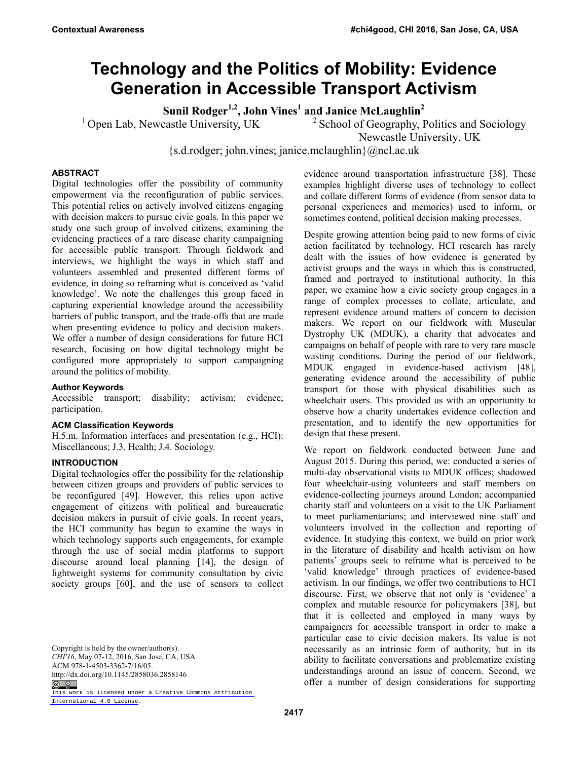# **Technology and the Politics of Mobility: Evidence Generation in Accessible Transport Activism**

Sunil Rodger<sup>1,2</sup>, John Vines<sup>1</sup> and Janice McLaughlin<sup>2</sup>

<sup>1</sup> Open Lab, Newcastle University, UK <sup>2</sup> School of Geography, Politics and Sociology

Newcastle University, UK

{s.d.rodger; john.vines; janice.mclaughlin}@ncl.ac.uk

## **ABSTRACT**

Digital technologies offer the possibility of community empowerment via the reconfiguration of public services. This potential relies on actively involved citizens engaging with decision makers to pursue civic goals. In this paper we study one such group of involved citizens, examining the evidencing practices of a rare disease charity campaigning for accessible public transport. Through fieldwork and interviews, we highlight the ways in which staff and volunteers assembled and presented different forms of evidence, in doing so reframing what is conceived as 'valid knowledge'. We note the challenges this group faced in capturing experiential knowledge around the accessibility barriers of public transport, and the trade-offs that are made when presenting evidence to policy and decision makers. We offer a number of design considerations for future HCI research, focusing on how digital technology might be configured more appropriately to support campaigning around the politics of mobility.

## **Author Keywords**

Accessible transport; disability; activism; evidence; participation.

#### **ACM Classification Keywords**

H.5.m. Information interfaces and presentation (e.g., HCI): Miscellaneous; J.3. Health; J.4. Sociology.

#### **INTRODUCTION**

Digital technologies offer the possibility for the relationship between citizen groups and providers of public services to be reconfigured [49]. However, this relies upon active engagement of citizens with political and bureaucratic decision makers in pursuit of civic goals. In recent years, the HCI community has begun to examine the ways in which technology supports such engagements, for example through the use of social media platforms to support discourse around local planning [14], the design of lightweight systems for community consultation by civic society groups [60], and the use of sensors to collect

Copyright is held by the owner/author(s). *CHI'16*, May 07-12, 2016, San Jose, CA, USA ACM 978-1-4503-3362-7/16/05. http://dx.doi.org/10.1145/2858036.2858146  $\circledcirc$ 

[This work is licensed under a Creative Commons Attribution](https://creativecommons.org/licenses/by/4.0/)  [International 4.0 License.](https://creativecommons.org/licenses/by/4.0/)

evidence around transportation infrastructure [38]. These examples highlight diverse uses of technology to collect and collate different forms of evidence (from sensor data to personal experiences and memories) used to inform, or sometimes contend, political decision making processes.

Despite growing attention being paid to new forms of civic action facilitated by technology, HCI research has rarely dealt with the issues of how evidence is generated by activist groups and the ways in which this is constructed, framed and portrayed to institutional authority. In this paper, we examine how a civic society group engages in a range of complex processes to collate, articulate, and represent evidence around matters of concern to decision makers. We report on our fieldwork with Muscular Dystrophy UK (MDUK), a charity that advocates and campaigns on behalf of people with rare to very rare muscle wasting conditions. During the period of our fieldwork, MDUK engaged in evidence-based activism [48], generating evidence around the accessibility of public transport for those with physical disabilities such as wheelchair users. This provided us with an opportunity to observe how a charity undertakes evidence collection and presentation, and to identify the new opportunities for design that these present.

We report on fieldwork conducted between June and August 2015. During this period, we: conducted a series of multi-day observational visits to MDUK offices; shadowed four wheelchair-using volunteers and staff members on evidence-collecting journeys around London; accompanied charity staff and volunteers on a visit to the UK Parliament to meet parliamentarians; and interviewed nine staff and volunteers involved in the collection and reporting of evidence. In studying this context, we build on prior work in the literature of disability and health activism on how patients' groups seek to reframe what is perceived to be 'valid knowledge' through practices of evidence-based activism. In our findings, we offer two contributions to HCI discourse. First, we observe that not only is 'evidence' a complex and mutable resource for policymakers [38], but that it is collected and employed in many ways by campaigners for accessible transport in order to make a particular case to civic decision makers. Its value is not necessarily as an intrinsic form of authority, but in its ability to facilitate conversations and problematize existing understandings around an issue of concern. Second, we offer a number of design considerations for supporting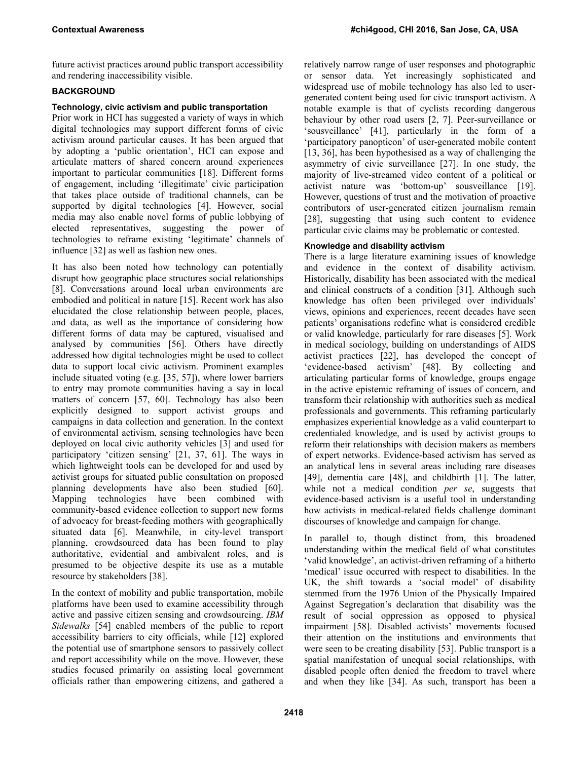future activist practices around public transport accessibility and rendering inaccessibility visible.

## **BACKGROUND**

# **Technology, civic activism and public transportation**

Prior work in HCI has suggested a variety of ways in which digital technologies may support different forms of civic activism around particular causes. It has been argued that by adopting a 'public orientation', HCI can expose and articulate matters of shared concern around experiences important to particular communities [18]. Different forms of engagement, including 'illegitimate' civic participation that takes place outside of traditional channels, can be supported by digital technologies [4]. However, social media may also enable novel forms of public lobbying of elected representatives, suggesting the power of technologies to reframe existing 'legitimate' channels of influence [32] as well as fashion new ones.

It has also been noted how technology can potentially disrupt how geographic place structures social relationships [8]. Conversations around local urban environments are embodied and political in nature [15]. Recent work has also elucidated the close relationship between people, places, and data, as well as the importance of considering how different forms of data may be captured, visualised and analysed by communities [56]. Others have directly addressed how digital technologies might be used to collect data to support local civic activism. Prominent examples include situated voting (e.g. [35, 57]), where lower barriers to entry may promote communities having a say in local matters of concern [57, 60]. Technology has also been explicitly designed to support activist groups and campaigns in data collection and generation. In the context of environmental activism, sensing technologies have been deployed on local civic authority vehicles [3] and used for participatory 'citizen sensing' [21, 37, 61]. The ways in which lightweight tools can be developed for and used by activist groups for situated public consultation on proposed planning developments have also been studied [60]. Mapping technologies have been combined with community-based evidence collection to support new forms of advocacy for breast-feeding mothers with geographically situated data [6]. Meanwhile, in city-level transport planning, crowdsourced data has been found to play authoritative, evidential and ambivalent roles, and is presumed to be objective despite its use as a mutable resource by stakeholders [38].

In the context of mobility and public transportation, mobile platforms have been used to examine accessibility through active and passive citizen sensing and crowdsourcing. *IBM Sidewalks* [54] enabled members of the public to report accessibility barriers to city officials, while [12] explored the potential use of smartphone sensors to passively collect and report accessibility while on the move. However, these studies focused primarily on assisting local government officials rather than empowering citizens, and gathered a relatively narrow range of user responses and photographic or sensor data. Yet increasingly sophisticated and widespread use of mobile technology has also led to usergenerated content being used for civic transport activism. A notable example is that of cyclists recording dangerous behaviour by other road users [2, 7]. Peer-surveillance or 'sousveillance' [41], particularly in the form of a 'participatory panopticon' of user-generated mobile content [13, 36], has been hypothesised as a way of challenging the asymmetry of civic surveillance [27]. In one study, the majority of live-streamed video content of a political or activist nature was 'bottom-up' sousveillance [19]. However, questions of trust and the motivation of proactive contributors of user-generated citizen journalism remain [28], suggesting that using such content to evidence particular civic claims may be problematic or contested.

## **Knowledge and disability activism**

There is a large literature examining issues of knowledge and evidence in the context of disability activism. Historically, disability has been associated with the medical and clinical constructs of a condition [31]. Although such knowledge has often been privileged over individuals' views, opinions and experiences, recent decades have seen patients' organisations redefine what is considered credible or valid knowledge, particularly for rare diseases [5]. Work in medical sociology, building on understandings of AIDS activist practices [22], has developed the concept of 'evidence-based activism' [48]. By collecting and articulating particular forms of knowledge, groups engage in the active epistemic reframing of issues of concern, and transform their relationship with authorities such as medical professionals and governments. This reframing particularly emphasizes experiential knowledge as a valid counterpart to credentialed knowledge, and is used by activist groups to reform their relationships with decision makers as members of expert networks. Evidence-based activism has served as an analytical lens in several areas including rare diseases [49], dementia care [48], and childbirth [1]. The latter, while not a medical condition *per se*, suggests that evidence-based activism is a useful tool in understanding how activists in medical-related fields challenge dominant discourses of knowledge and campaign for change.

In parallel to, though distinct from, this broadened understanding within the medical field of what constitutes 'valid knowledge', an activist-driven reframing of a hitherto 'medical' issue occurred with respect to disabilities. In the UK, the shift towards a 'social model' of disability stemmed from the 1976 Union of the Physically Impaired Against Segregation's declaration that disability was the result of social oppression as opposed to physical impairment [58]. Disabled activists' movements focused their attention on the institutions and environments that were seen to be creating disability [53]. Public transport is a spatial manifestation of unequal social relationships, with disabled people often denied the freedom to travel where and when they like [34]. As such, transport has been a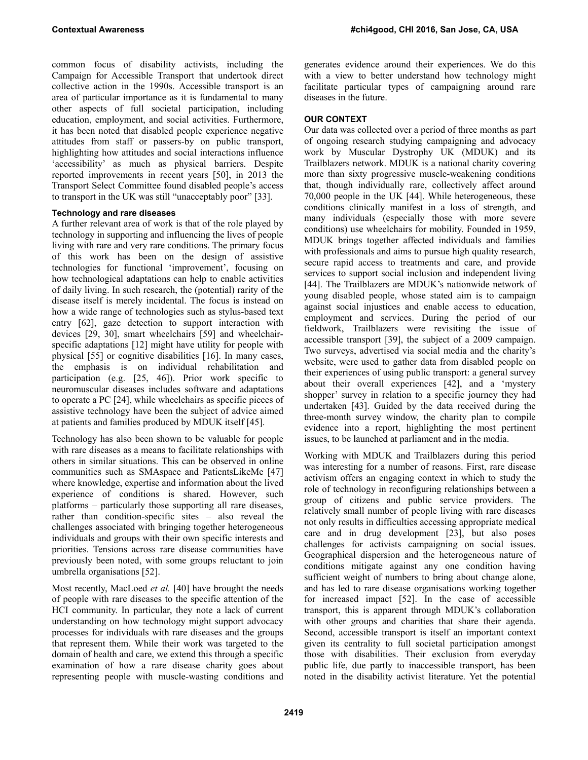common focus of disability activists, including the Campaign for Accessible Transport that undertook direct collective action in the 1990s. Accessible transport is an area of particular importance as it is fundamental to many other aspects of full societal participation, including education, employment, and social activities. Furthermore, it has been noted that disabled people experience negative attitudes from staff or passers-by on public transport, highlighting how attitudes and social interactions influence 'accessibility' as much as physical barriers. Despite reported improvements in recent years [50], in 2013 the Transport Select Committee found disabled people's access to transport in the UK was still "unacceptably poor" [33].

## **Technology and rare diseases**

A further relevant area of work is that of the role played by technology in supporting and influencing the lives of people living with rare and very rare conditions. The primary focus of this work has been on the design of assistive technologies for functional 'improvement', focusing on how technological adaptations can help to enable activities of daily living. In such research, the (potential) rarity of the disease itself is merely incidental. The focus is instead on how a wide range of technologies such as stylus-based text entry [62], gaze detection to support interaction with devices [29, 30], smart wheelchairs [59] and wheelchairspecific adaptations [12] might have utility for people with physical [55] or cognitive disabilities [16]. In many cases, the emphasis is on individual rehabilitation and participation (e.g. [25, 46]). Prior work specific to neuromuscular diseases includes software and adaptations to operate a PC [24], while wheelchairs as specific pieces of assistive technology have been the subject of advice aimed at patients and families produced by MDUK itself [45].

Technology has also been shown to be valuable for people with rare diseases as a means to facilitate relationships with others in similar situations. This can be observed in online communities such as SMAspace and PatientsLikeMe [47] where knowledge, expertise and information about the lived experience of conditions is shared. However, such platforms – particularly those supporting all rare diseases, rather than condition-specific sites – also reveal the challenges associated with bringing together heterogeneous individuals and groups with their own specific interests and priorities. Tensions across rare disease communities have previously been noted, with some groups reluctant to join umbrella organisations [52].

Most recently, MacLoed *et al.* [40] have brought the needs of people with rare diseases to the specific attention of the HCI community. In particular, they note a lack of current understanding on how technology might support advocacy processes for individuals with rare diseases and the groups that represent them. While their work was targeted to the domain of health and care, we extend this through a specific examination of how a rare disease charity goes about representing people with muscle-wasting conditions and

generates evidence around their experiences. We do this with a view to better understand how technology might facilitate particular types of campaigning around rare diseases in the future.

# **OUR CONTEXT**

Our data was collected over a period of three months as part of ongoing research studying campaigning and advocacy work by Muscular Dystrophy UK (MDUK) and its Trailblazers network. MDUK is a national charity covering more than sixty progressive muscle-weakening conditions that, though individually rare, collectively affect around 70,000 people in the UK [44]. While heterogeneous, these conditions clinically manifest in a loss of strength, and many individuals (especially those with more severe conditions) use wheelchairs for mobility. Founded in 1959, MDUK brings together affected individuals and families with professionals and aims to pursue high quality research, secure rapid access to treatments and care, and provide services to support social inclusion and independent living [44]. The Trailblazers are MDUK's nationwide network of young disabled people, whose stated aim is to campaign against social injustices and enable access to education, employment and services. During the period of our fieldwork, Trailblazers were revisiting the issue of accessible transport [39], the subject of a 2009 campaign. Two surveys, advertised via social media and the charity's website, were used to gather data from disabled people on their experiences of using public transport: a general survey about their overall experiences [42], and a 'mystery shopper' survey in relation to a specific journey they had undertaken [43]. Guided by the data received during the three-month survey window, the charity plan to compile evidence into a report, highlighting the most pertinent issues, to be launched at parliament and in the media.

Working with MDUK and Trailblazers during this period was interesting for a number of reasons. First, rare disease activism offers an engaging context in which to study the role of technology in reconfiguring relationships between a group of citizens and public service providers. The relatively small number of people living with rare diseases not only results in difficulties accessing appropriate medical care and in drug development [23], but also poses challenges for activists campaigning on social issues. Geographical dispersion and the heterogeneous nature of conditions mitigate against any one condition having sufficient weight of numbers to bring about change alone, and has led to rare disease organisations working together for increased impact [52]. In the case of accessible transport, this is apparent through MDUK's collaboration with other groups and charities that share their agenda. Second, accessible transport is itself an important context given its centrality to full societal participation amongst those with disabilities. Their exclusion from everyday public life, due partly to inaccessible transport, has been noted in the disability activist literature. Yet the potential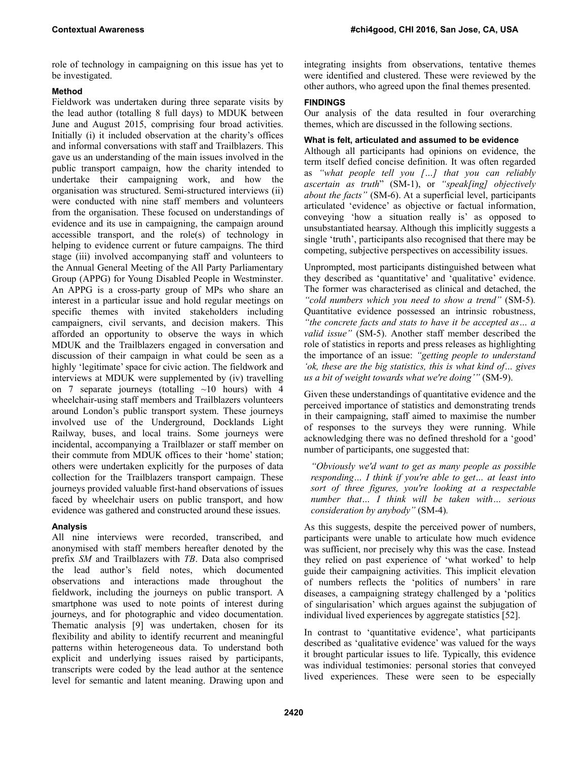role of technology in campaigning on this issue has yet to be investigated.

## **Method**

Fieldwork was undertaken during three separate visits by the lead author (totalling 8 full days) to MDUK between June and August 2015, comprising four broad activities. Initially (i) it included observation at the charity's offices and informal conversations with staff and Trailblazers. This gave us an understanding of the main issues involved in the public transport campaign, how the charity intended to undertake their campaigning work, and how the organisation was structured. Semi-structured interviews (ii) were conducted with nine staff members and volunteers from the organisation. These focused on understandings of evidence and its use in campaigning, the campaign around accessible transport, and the role(s) of technology in helping to evidence current or future campaigns. The third stage (iii) involved accompanying staff and volunteers to the Annual General Meeting of the All Party Parliamentary Group (APPG) for Young Disabled People in Westminster. An APPG is a cross-party group of MPs who share an interest in a particular issue and hold regular meetings on specific themes with invited stakeholders including campaigners, civil servants, and decision makers. This afforded an opportunity to observe the ways in which MDUK and the Trailblazers engaged in conversation and discussion of their campaign in what could be seen as a highly 'legitimate' space for civic action. The fieldwork and interviews at MDUK were supplemented by (iv) travelling on 7 separate journeys (totalling  $\sim$ 10 hours) with 4 wheelchair-using staff members and Trailblazers volunteers around London's public transport system. These journeys involved use of the Underground, Docklands Light Railway, buses, and local trains. Some journeys were incidental, accompanying a Trailblazer or staff member on their commute from MDUK offices to their 'home' station; others were undertaken explicitly for the purposes of data collection for the Trailblazers transport campaign. These journeys provided valuable first-hand observations of issues faced by wheelchair users on public transport, and how evidence was gathered and constructed around these issues.

## **Analysis**

All nine interviews were recorded, transcribed, and anonymised with staff members hereafter denoted by the prefix *SM* and Trailblazers with *TB*. Data also comprised the lead author's field notes, which documented observations and interactions made throughout the fieldwork, including the journeys on public transport. A smartphone was used to note points of interest during journeys, and for photographic and video documentation. Thematic analysis [9] was undertaken, chosen for its flexibility and ability to identify recurrent and meaningful patterns within heterogeneous data. To understand both explicit and underlying issues raised by participants, transcripts were coded by the lead author at the sentence level for semantic and latent meaning. Drawing upon and

integrating insights from observations, tentative themes were identified and clustered. These were reviewed by the other authors, who agreed upon the final themes presented.

## **FINDINGS**

Our analysis of the data resulted in four overarching themes, which are discussed in the following sections.

## **What is felt, articulated and assumed to be evidence**

Although all participants had opinions on evidence, the term itself defied concise definition. It was often regarded as *"what people tell you […] that you can reliably ascertain as truth*" (SM-1), or *"speak[ing] objectively about the facts"* (SM-6). At a superficial level, participants articulated 'evidence' as objective or factual information, conveying 'how a situation really is' as opposed to unsubstantiated hearsay. Although this implicitly suggests a single 'truth', participants also recognised that there may be competing, subjective perspectives on accessibility issues.

Unprompted, most participants distinguished between what they described as 'quantitative' and 'qualitative' evidence. The former was characterised as clinical and detached, the *"cold numbers which you need to show a trend"* (SM-5)*.* Quantitative evidence possessed an intrinsic robustness, *"the concrete facts and stats to have it be accepted as… a valid issue"* (SM-5). Another staff member described the role of statistics in reports and press releases as highlighting the importance of an issue: *"getting people to understand 'ok, these are the big statistics, this is what kind of… gives us a bit of weight towards what we're doing'"* (SM-9).

Given these understandings of quantitative evidence and the perceived importance of statistics and demonstrating trends in their campaigning, staff aimed to maximise the number of responses to the surveys they were running. While acknowledging there was no defined threshold for a 'good' number of participants, one suggested that:

*"Obviously we'd want to get as many people as possible responding… I think if you're able to get… at least into sort of three figures, you're looking at a respectable number that… I think will be taken with… serious consideration by anybody"* (SM-4)*.* 

As this suggests, despite the perceived power of numbers, participants were unable to articulate how much evidence was sufficient, nor precisely why this was the case. Instead they relied on past experience of 'what worked' to help guide their campaigning activities. This implicit elevation of numbers reflects the 'politics of numbers' in rare diseases, a campaigning strategy challenged by a 'politics of singularisation' which argues against the subjugation of individual lived experiences by aggregate statistics [52].

In contrast to 'quantitative evidence', what participants described as 'qualitative evidence' was valued for the ways it brought particular issues to life. Typically, this evidence was individual testimonies: personal stories that conveyed lived experiences. These were seen to be especially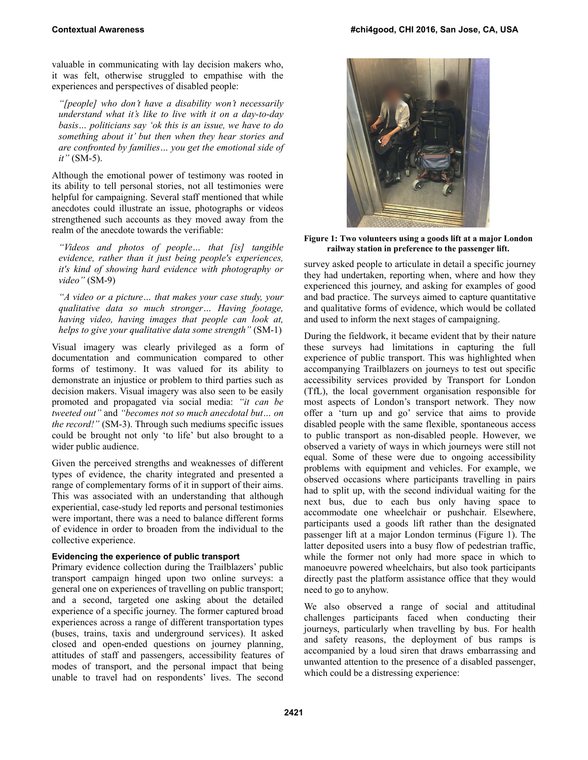valuable in communicating with lay decision makers who, it was felt, otherwise struggled to empathise with the experiences and perspectives of disabled people:

*"[people] who don't have a disability won't necessarily understand what it's like to live with it on a day-to-day basis… politicians say 'ok this is an issue, we have to do something about it' but then when they hear stories and are confronted by families… you get the emotional side of it"* (SM-5).

Although the emotional power of testimony was rooted in its ability to tell personal stories, not all testimonies were helpful for campaigning. Several staff mentioned that while anecdotes could illustrate an issue, photographs or videos strengthened such accounts as they moved away from the realm of the anecdote towards the verifiable:

*"Videos and photos of people… that [is] tangible evidence, rather than it just being people's experiences, it's kind of showing hard evidence with photography or video"* (SM-9)

*"A video or a picture… that makes your case study, your qualitative data so much stronger… Having footage, having video, having images that people can look at, helps to give your qualitative data some strength"* (SM-1)

Visual imagery was clearly privileged as a form of documentation and communication compared to other forms of testimony. It was valued for its ability to demonstrate an injustice or problem to third parties such as decision makers. Visual imagery was also seen to be easily promoted and propagated via social media: *"it can be tweeted out"* and *"becomes not so much anecdotal but… on the record!"* (SM-3). Through such mediums specific issues could be brought not only 'to life' but also brought to a wider public audience.

Given the perceived strengths and weaknesses of different types of evidence, the charity integrated and presented a range of complementary forms of it in support of their aims. This was associated with an understanding that although experiential, case-study led reports and personal testimonies were important, there was a need to balance different forms of evidence in order to broaden from the individual to the collective experience.

#### **Evidencing the experience of public transport**

Primary evidence collection during the Trailblazers' public transport campaign hinged upon two online surveys: a general one on experiences of travelling on public transport; and a second, targeted one asking about the detailed experience of a specific journey. The former captured broad experiences across a range of different transportation types (buses, trains, taxis and underground services). It asked closed and open-ended questions on journey planning, attitudes of staff and passengers, accessibility features of modes of transport, and the personal impact that being unable to travel had on respondents' lives. The second



**Figure 1: Two volunteers using a goods lift at a major London railway station in preference to the passenger lift.** 

survey asked people to articulate in detail a specific journey they had undertaken, reporting when, where and how they experienced this journey, and asking for examples of good and bad practice. The surveys aimed to capture quantitative and qualitative forms of evidence, which would be collated and used to inform the next stages of campaigning.

During the fieldwork, it became evident that by their nature these surveys had limitations in capturing the full experience of public transport. This was highlighted when accompanying Trailblazers on journeys to test out specific accessibility services provided by Transport for London (TfL), the local government organisation responsible for most aspects of London's transport network. They now offer a 'turn up and go' service that aims to provide disabled people with the same flexible, spontaneous access to public transport as non-disabled people. However, we observed a variety of ways in which journeys were still not equal. Some of these were due to ongoing accessibility problems with equipment and vehicles. For example, we observed occasions where participants travelling in pairs had to split up, with the second individual waiting for the next bus, due to each bus only having space to accommodate one wheelchair or pushchair. Elsewhere, participants used a goods lift rather than the designated passenger lift at a major London terminus (Figure 1). The latter deposited users into a busy flow of pedestrian traffic, while the former not only had more space in which to manoeuvre powered wheelchairs, but also took participants directly past the platform assistance office that they would need to go to anyhow.

We also observed a range of social and attitudinal challenges participants faced when conducting their journeys, particularly when travelling by bus. For health and safety reasons, the deployment of bus ramps is accompanied by a loud siren that draws embarrassing and unwanted attention to the presence of a disabled passenger, which could be a distressing experience: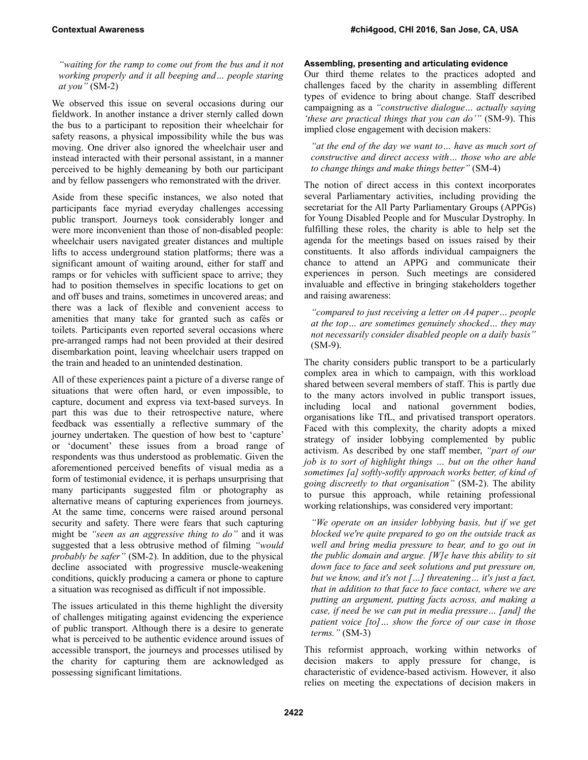*"waiting for the ramp to come out from the bus and it not working properly and it all beeping and… people staring at you"* (SM-2)

We observed this issue on several occasions during our fieldwork. In another instance a driver sternly called down the bus to a participant to reposition their wheelchair for safety reasons, a physical impossibility while the bus was moving. One driver also ignored the wheelchair user and instead interacted with their personal assistant, in a manner perceived to be highly demeaning by both our participant and by fellow passengers who remonstrated with the driver.

Aside from these specific instances, we also noted that participants face myriad everyday challenges accessing public transport. Journeys took considerably longer and were more inconvenient than those of non-disabled people: wheelchair users navigated greater distances and multiple lifts to access underground station platforms; there was a significant amount of waiting around, either for staff and ramps or for vehicles with sufficient space to arrive; they had to position themselves in specific locations to get on and off buses and trains, sometimes in uncovered areas; and there was a lack of flexible and convenient access to amenities that many take for granted such as cafés or toilets. Participants even reported several occasions where pre-arranged ramps had not been provided at their desired disembarkation point, leaving wheelchair users trapped on the train and headed to an unintended destination.

All of these experiences paint a picture of a diverse range of situations that were often hard, or even impossible, to capture, document and express via text-based surveys. In part this was due to their retrospective nature, where feedback was essentially a reflective summary of the journey undertaken. The question of how best to 'capture' or 'document' these issues from a broad range of respondents was thus understood as problematic. Given the aforementioned perceived benefits of visual media as a form of testimonial evidence, it is perhaps unsurprising that many participants suggested film or photography as alternative means of capturing experiences from journeys. At the same time, concerns were raised around personal security and safety. There were fears that such capturing might be *"seen as an aggressive thing to do"* and it was suggested that a less obtrusive method of filming *"would probably be safer"* (SM-2). In addition, due to the physical decline associated with progressive muscle-weakening conditions, quickly producing a camera or phone to capture a situation was recognised as difficult if not impossible.

The issues articulated in this theme highlight the diversity of challenges mitigating against evidencing the experience of public transport. Although there is a desire to generate what is perceived to be authentic evidence around issues of accessible transport, the journeys and processes utilised by the charity for capturing them are acknowledged as possessing significant limitations.

## **Assembling, presenting and articulating evidence**

Our third theme relates to the practices adopted and challenges faced by the charity in assembling different types of evidence to bring about change. Staff described campaigning as a *"constructive dialogue… actually saying 'these are practical things that you can do'"* (SM-9). This implied close engagement with decision makers:

*"at the end of the day we want to… have as much sort of constructive and direct access with… those who are able to change things and make things better"* (SM-4)

The notion of direct access in this context incorporates several Parliamentary activities, including providing the secretariat for the All Party Parliamentary Groups (APPGs) for Young Disabled People and for Muscular Dystrophy. In fulfilling these roles, the charity is able to help set the agenda for the meetings based on issues raised by their constituents. It also affords individual campaigners the chance to attend an APPG and communicate their experiences in person. Such meetings are considered invaluable and effective in bringing stakeholders together and raising awareness:

*"compared to just receiving a letter on A4 paper… people at the top… are sometimes genuinely shocked… they may not necessarily consider disabled people on a daily basis"*  (SM-9).

The charity considers public transport to be a particularly complex area in which to campaign, with this workload shared between several members of staff. This is partly due to the many actors involved in public transport issues, including local and national government bodies, organisations like TfL, and privatised transport operators. Faced with this complexity, the charity adopts a mixed strategy of insider lobbying complemented by public activism. As described by one staff member, *"part of our job is to sort of highlight things … but on the other hand sometimes [a] softly-softly approach works better, of kind of going discreetly to that organisation"* (SM-2). The ability to pursue this approach, while retaining professional working relationships, was considered very important:

*"We operate on an insider lobbying basis, but if we get blocked we're quite prepared to go on the outside track as well and bring media pressure to bear, and to go out in the public domain and argue. [W]e have this ability to sit down face to face and seek solutions and put pressure on, but we know, and it's not […] threatening… it's just a fact, that in addition to that face to face contact, where we are putting an argument, putting facts across, and making a case, if need be we can put in media pressure… [and] the patient voice [to]… show the force of our case in those terms."* (SM-3)

This reformist approach, working within networks of decision makers to apply pressure for change, is characteristic of evidence-based activism. However, it also relies on meeting the expectations of decision makers in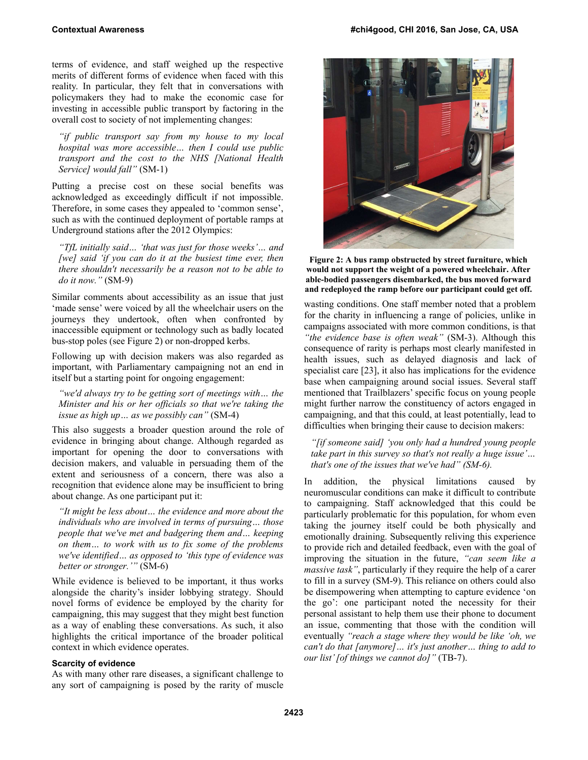terms of evidence, and staff weighed up the respective merits of different forms of evidence when faced with this reality. In particular, they felt that in conversations with policymakers they had to make the economic case for investing in accessible public transport by factoring in the overall cost to society of not implementing changes:

*"if public transport say from my house to my local hospital was more accessible… then I could use public transport and the cost to the NHS [National Health Service] would fall"* (SM-1)

Putting a precise cost on these social benefits was acknowledged as exceedingly difficult if not impossible. Therefore, in some cases they appealed to 'common sense', such as with the continued deployment of portable ramps at Underground stations after the 2012 Olympics:

*"TfL initially said… 'that was just for those weeks'… and [we] said 'if you can do it at the busiest time ever, then there shouldn't necessarily be a reason not to be able to do it now."* (SM-9)

Similar comments about accessibility as an issue that just 'made sense' were voiced by all the wheelchair users on the journeys they undertook, often when confronted by inaccessible equipment or technology such as badly located bus-stop poles (see Figure 2) or non-dropped kerbs.

Following up with decision makers was also regarded as important, with Parliamentary campaigning not an end in itself but a starting point for ongoing engagement:

*"we'd always try to be getting sort of meetings with… the Minister and his or her officials so that we're taking the issue as high up… as we possibly can"* (SM-4)

This also suggests a broader question around the role of evidence in bringing about change. Although regarded as important for opening the door to conversations with decision makers, and valuable in persuading them of the extent and seriousness of a concern, there was also a recognition that evidence alone may be insufficient to bring about change. As one participant put it:

*"It might be less about… the evidence and more about the individuals who are involved in terms of pursuing… those people that we've met and badgering them and… keeping on them… to work with us to fix some of the problems we've identified… as opposed to 'this type of evidence was better or stronger.'"* (SM-6)

While evidence is believed to be important, it thus works alongside the charity's insider lobbying strategy. Should novel forms of evidence be employed by the charity for campaigning, this may suggest that they might best function as a way of enabling these conversations. As such, it also highlights the critical importance of the broader political context in which evidence operates.

#### **Scarcity of evidence**

As with many other rare diseases, a significant challenge to any sort of campaigning is posed by the rarity of muscle



**Figure 2: A bus ramp obstructed by street furniture, which would not support the weight of a powered wheelchair. After able-bodied passengers disembarked, the bus moved forward and redeployed the ramp before our participant could get off.**

wasting conditions. One staff member noted that a problem for the charity in influencing a range of policies, unlike in campaigns associated with more common conditions, is that *"the evidence base is often weak"* (SM-3). Although this consequence of rarity is perhaps most clearly manifested in health issues, such as delayed diagnosis and lack of specialist care [23], it also has implications for the evidence base when campaigning around social issues. Several staff mentioned that Trailblazers' specific focus on young people might further narrow the constituency of actors engaged in campaigning, and that this could, at least potentially, lead to difficulties when bringing their cause to decision makers:

*"[if someone said] 'you only had a hundred young people take part in this survey so that's not really a huge issue'… that's one of the issues that we've had" (SM-6).* 

In addition, the physical limitations caused by neuromuscular conditions can make it difficult to contribute to campaigning. Staff acknowledged that this could be particularly problematic for this population, for whom even taking the journey itself could be both physically and emotionally draining. Subsequently reliving this experience to provide rich and detailed feedback, even with the goal of improving the situation in the future, *"can seem like a massive task"*, particularly if they require the help of a carer to fill in a survey (SM-9). This reliance on others could also be disempowering when attempting to capture evidence 'on the go': one participant noted the necessity for their personal assistant to help them use their phone to document an issue, commenting that those with the condition will eventually *"reach a stage where they would be like 'oh, we can't do that [anymore]… it's just another… thing to add to our list' [of things we cannot do]"* (TB-7).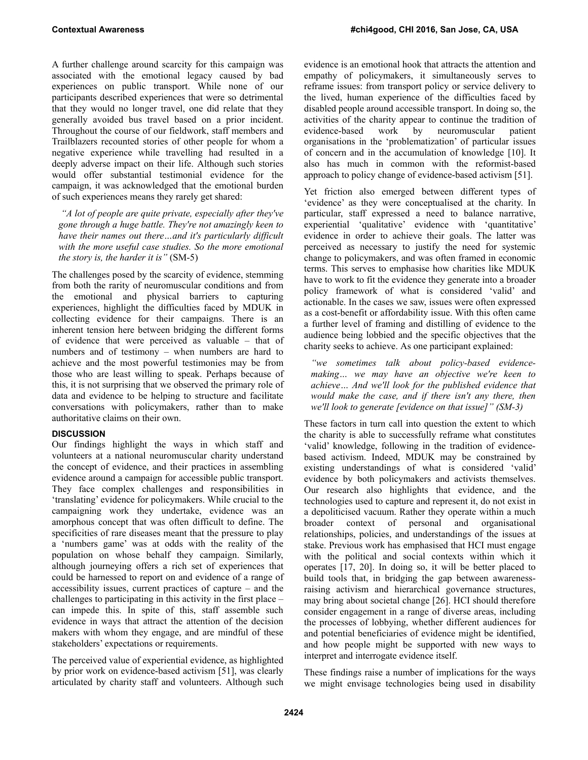A further challenge around scarcity for this campaign was associated with the emotional legacy caused by bad experiences on public transport. While none of our participants described experiences that were so detrimental that they would no longer travel, one did relate that they generally avoided bus travel based on a prior incident. Throughout the course of our fieldwork, staff members and Trailblazers recounted stories of other people for whom a negative experience while travelling had resulted in a deeply adverse impact on their life. Although such stories would offer substantial testimonial evidence for the campaign, it was acknowledged that the emotional burden of such experiences means they rarely get shared:

 *"A lot of people are quite private, especially after they've gone through a huge battle. They're not amazingly keen to have their names out there…and it's particularly difficult with the more useful case studies. So the more emotional the story is, the harder it is"* (SM-5)

The challenges posed by the scarcity of evidence, stemming from both the rarity of neuromuscular conditions and from the emotional and physical barriers to capturing experiences, highlight the difficulties faced by MDUK in collecting evidence for their campaigns. There is an inherent tension here between bridging the different forms of evidence that were perceived as valuable – that of numbers and of testimony – when numbers are hard to achieve and the most powerful testimonies may be from those who are least willing to speak. Perhaps because of this, it is not surprising that we observed the primary role of data and evidence to be helping to structure and facilitate conversations with policymakers, rather than to make authoritative claims on their own.

## **DISCUSSION**

Our findings highlight the ways in which staff and volunteers at a national neuromuscular charity understand the concept of evidence, and their practices in assembling evidence around a campaign for accessible public transport. They face complex challenges and responsibilities in 'translating' evidence for policymakers. While crucial to the campaigning work they undertake, evidence was an amorphous concept that was often difficult to define. The specificities of rare diseases meant that the pressure to play a 'numbers game' was at odds with the reality of the population on whose behalf they campaign. Similarly, although journeying offers a rich set of experiences that could be harnessed to report on and evidence of a range of accessibility issues, current practices of capture – and the challenges to participating in this activity in the first place – can impede this. In spite of this, staff assemble such evidence in ways that attract the attention of the decision makers with whom they engage, and are mindful of these stakeholders' expectations or requirements.

The perceived value of experiential evidence, as highlighted by prior work on evidence-based activism [51], was clearly articulated by charity staff and volunteers. Although such

evidence is an emotional hook that attracts the attention and empathy of policymakers, it simultaneously serves to reframe issues: from transport policy or service delivery to the lived, human experience of the difficulties faced by disabled people around accessible transport. In doing so, the activities of the charity appear to continue the tradition of evidence-based work by neuromuscular patient organisations in the 'problematization' of particular issues of concern and in the accumulation of knowledge [10]. It also has much in common with the reformist-based approach to policy change of evidence-based activism [51].

Yet friction also emerged between different types of 'evidence' as they were conceptualised at the charity. In particular, staff expressed a need to balance narrative, experiential 'qualitative' evidence with 'quantitative' evidence in order to achieve their goals. The latter was perceived as necessary to justify the need for systemic change to policymakers, and was often framed in economic terms. This serves to emphasise how charities like MDUK have to work to fit the evidence they generate into a broader policy framework of what is considered 'valid' and actionable. In the cases we saw, issues were often expressed as a cost-benefit or affordability issue. With this often came a further level of framing and distilling of evidence to the audience being lobbied and the specific objectives that the charity seeks to achieve. As one participant explained:

*"we sometimes talk about policy-based evidencemaking… we may have an objective we're keen to achieve… And we'll look for the published evidence that would make the case, and if there isn't any there, then we'll look to generate [evidence on that issue]" (SM-3)* 

These factors in turn call into question the extent to which the charity is able to successfully reframe what constitutes 'valid' knowledge, following in the tradition of evidencebased activism. Indeed, MDUK may be constrained by existing understandings of what is considered 'valid' evidence by both policymakers and activists themselves. Our research also highlights that evidence, and the technologies used to capture and represent it, do not exist in a depoliticised vacuum. Rather they operate within a much broader context of personal and organisational relationships, policies, and understandings of the issues at stake. Previous work has emphasised that HCI must engage with the political and social contexts within which it operates [17, 20]. In doing so, it will be better placed to build tools that, in bridging the gap between awarenessraising activism and hierarchical governance structures, may bring about societal change [26]. HCI should therefore consider engagement in a range of diverse areas, including the processes of lobbying, whether different audiences for and potential beneficiaries of evidence might be identified, and how people might be supported with new ways to interpret and interrogate evidence itself.

These findings raise a number of implications for the ways we might envisage technologies being used in disability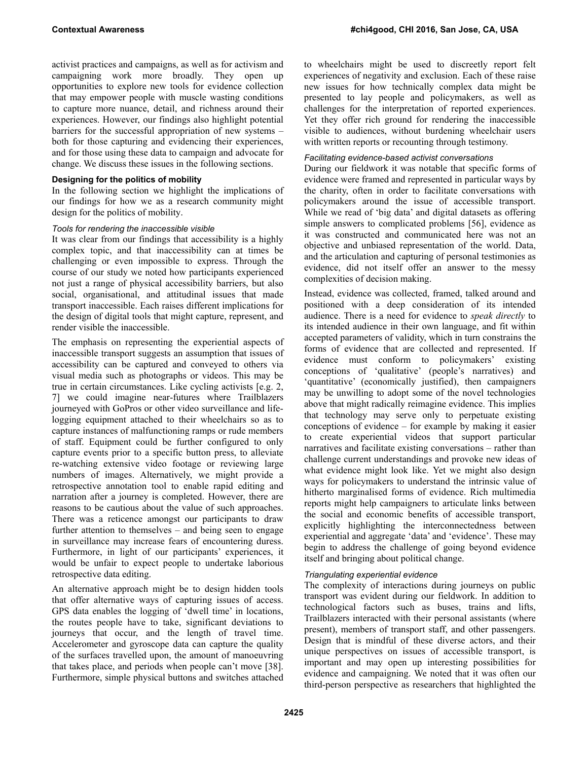activist practices and campaigns, as well as for activism and campaigning work more broadly. They open up opportunities to explore new tools for evidence collection that may empower people with muscle wasting conditions to capture more nuance, detail, and richness around their experiences. However, our findings also highlight potential barriers for the successful appropriation of new systems – both for those capturing and evidencing their experiences, and for those using these data to campaign and advocate for change. We discuss these issues in the following sections.

## **Designing for the politics of mobility**

In the following section we highlight the implications of our findings for how we as a research community might design for the politics of mobility.

## *Tools for rendering the inaccessible visible*

It was clear from our findings that accessibility is a highly complex topic, and that inaccessibility can at times be challenging or even impossible to express. Through the course of our study we noted how participants experienced not just a range of physical accessibility barriers, but also social, organisational, and attitudinal issues that made transport inaccessible. Each raises different implications for the design of digital tools that might capture, represent, and render visible the inaccessible.

The emphasis on representing the experiential aspects of inaccessible transport suggests an assumption that issues of accessibility can be captured and conveyed to others via visual media such as photographs or videos. This may be true in certain circumstances. Like cycling activists [e.g. 2, 7] we could imagine near-futures where Trailblazers journeyed with GoPros or other video surveillance and lifelogging equipment attached to their wheelchairs so as to capture instances of malfunctioning ramps or rude members of staff. Equipment could be further configured to only capture events prior to a specific button press, to alleviate re-watching extensive video footage or reviewing large numbers of images. Alternatively, we might provide a retrospective annotation tool to enable rapid editing and narration after a journey is completed. However, there are reasons to be cautious about the value of such approaches. There was a reticence amongst our participants to draw further attention to themselves – and being seen to engage in surveillance may increase fears of encountering duress. Furthermore, in light of our participants' experiences, it would be unfair to expect people to undertake laborious retrospective data editing.

An alternative approach might be to design hidden tools that offer alternative ways of capturing issues of access. GPS data enables the logging of 'dwell time' in locations, the routes people have to take, significant deviations to journeys that occur, and the length of travel time. Accelerometer and gyroscope data can capture the quality of the surfaces travelled upon, the amount of manoeuvring that takes place, and periods when people can't move [38]. Furthermore, simple physical buttons and switches attached

to wheelchairs might be used to discreetly report felt experiences of negativity and exclusion. Each of these raise new issues for how technically complex data might be presented to lay people and policymakers, as well as challenges for the interpretation of reported experiences. Yet they offer rich ground for rendering the inaccessible visible to audiences, without burdening wheelchair users with written reports or recounting through testimony.

## *Facilitating evidence-based activist conversations*

During our fieldwork it was notable that specific forms of evidence were framed and represented in particular ways by the charity, often in order to facilitate conversations with policymakers around the issue of accessible transport. While we read of 'big data' and digital datasets as offering simple answers to complicated problems [56], evidence as it was constructed and communicated here was not an objective and unbiased representation of the world. Data, and the articulation and capturing of personal testimonies as evidence, did not itself offer an answer to the messy complexities of decision making.

Instead, evidence was collected, framed, talked around and positioned with a deep consideration of its intended audience. There is a need for evidence to *speak directly* to its intended audience in their own language, and fit within accepted parameters of validity, which in turn constrains the forms of evidence that are collected and represented. If evidence must conform to policymakers' existing conceptions of 'qualitative' (people's narratives) and 'quantitative' (economically justified), then campaigners may be unwilling to adopt some of the novel technologies above that might radically reimagine evidence. This implies that technology may serve only to perpetuate existing conceptions of evidence – for example by making it easier to create experiential videos that support particular narratives and facilitate existing conversations – rather than challenge current understandings and provoke new ideas of what evidence might look like. Yet we might also design ways for policymakers to understand the intrinsic value of hitherto marginalised forms of evidence. Rich multimedia reports might help campaigners to articulate links between the social and economic benefits of accessible transport, explicitly highlighting the interconnectedness between experiential and aggregate 'data' and 'evidence'. These may begin to address the challenge of going beyond evidence itself and bringing about political change.

## *Triangulating experiential evidence*

The complexity of interactions during journeys on public transport was evident during our fieldwork. In addition to technological factors such as buses, trains and lifts, Trailblazers interacted with their personal assistants (where present), members of transport staff, and other passengers. Design that is mindful of these diverse actors, and their unique perspectives on issues of accessible transport, is important and may open up interesting possibilities for evidence and campaigning. We noted that it was often our third-person perspective as researchers that highlighted the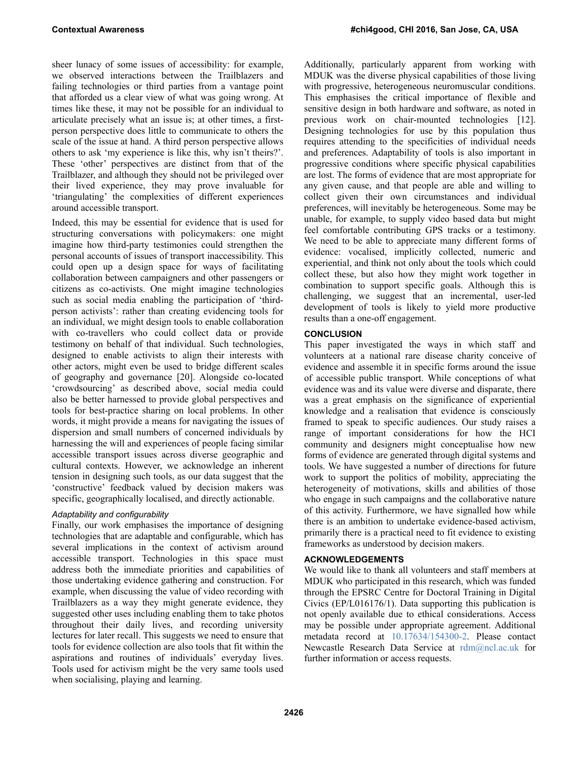sheer lunacy of some issues of accessibility: for example, we observed interactions between the Trailblazers and failing technologies or third parties from a vantage point that afforded us a clear view of what was going wrong. At times like these, it may not be possible for an individual to articulate precisely what an issue is; at other times, a firstperson perspective does little to communicate to others the scale of the issue at hand. A third person perspective allows others to ask 'my experience is like this, why isn't theirs?'. These 'other' perspectives are distinct from that of the Trailblazer, and although they should not be privileged over their lived experience, they may prove invaluable for 'triangulating' the complexities of different experiences around accessible transport.

Indeed, this may be essential for evidence that is used for structuring conversations with policymakers: one might imagine how third-party testimonies could strengthen the personal accounts of issues of transport inaccessibility. This could open up a design space for ways of facilitating collaboration between campaigners and other passengers or citizens as co-activists. One might imagine technologies such as social media enabling the participation of 'thirdperson activists': rather than creating evidencing tools for an individual, we might design tools to enable collaboration with co-travellers who could collect data or provide testimony on behalf of that individual. Such technologies, designed to enable activists to align their interests with other actors, might even be used to bridge different scales of geography and governance [20]. Alongside co-located 'crowdsourcing' as described above, social media could also be better harnessed to provide global perspectives and tools for best-practice sharing on local problems. In other words, it might provide a means for navigating the issues of dispersion and small numbers of concerned individuals by harnessing the will and experiences of people facing similar accessible transport issues across diverse geographic and cultural contexts. However, we acknowledge an inherent tension in designing such tools, as our data suggest that the 'constructive' feedback valued by decision makers was specific, geographically localised, and directly actionable.

## *Adaptability and configurability*

Finally, our work emphasises the importance of designing technologies that are adaptable and configurable, which has several implications in the context of activism around accessible transport. Technologies in this space must address both the immediate priorities and capabilities of those undertaking evidence gathering and construction. For example, when discussing the value of video recording with Trailblazers as a way they might generate evidence, they suggested other uses including enabling them to take photos throughout their daily lives, and recording university lectures for later recall. This suggests we need to ensure that tools for evidence collection are also tools that fit within the aspirations and routines of individuals' everyday lives. Tools used for activism might be the very same tools used when socialising, playing and learning.

Additionally, particularly apparent from working with MDUK was the diverse physical capabilities of those living with progressive, heterogeneous neuromuscular conditions. This emphasises the critical importance of flexible and sensitive design in both hardware and software, as noted in previous work on chair-mounted technologies [12]. Designing technologies for use by this population thus requires attending to the specificities of individual needs and preferences. Adaptability of tools is also important in progressive conditions where specific physical capabilities are lost. The forms of evidence that are most appropriate for any given cause, and that people are able and willing to collect given their own circumstances and individual preferences, will inevitably be heterogeneous. Some may be unable, for example, to supply video based data but might feel comfortable contributing GPS tracks or a testimony. We need to be able to appreciate many different forms of evidence: vocalised, implicitly collected, numeric and experiential, and think not only about the tools which could collect these, but also how they might work together in combination to support specific goals. Although this is challenging, we suggest that an incremental, user-led development of tools is likely to yield more productive results than a one-off engagement.

# **CONCLUSION**

This paper investigated the ways in which staff and volunteers at a national rare disease charity conceive of evidence and assemble it in specific forms around the issue of accessible public transport. While conceptions of what evidence was and its value were diverse and disparate, there was a great emphasis on the significance of experiential knowledge and a realisation that evidence is consciously framed to speak to specific audiences. Our study raises a range of important considerations for how the HCI community and designers might conceptualise how new forms of evidence are generated through digital systems and tools. We have suggested a number of directions for future work to support the politics of mobility, appreciating the heterogeneity of motivations, skills and abilities of those who engage in such campaigns and the collaborative nature of this activity. Furthermore, we have signalled how while there is an ambition to undertake evidence-based activism, primarily there is a practical need to fit evidence to existing frameworks as understood by decision makers.

## **ACKNOWLEDGEMENTS**

We would like to thank all volunteers and staff members at MDUK who participated in this research, which was funded through the EPSRC Centre for Doctoral Training in Digital Civics (EP/L016176/1). Data supporting this publication is not openly available due to ethical considerations. Access may be possible under appropriate agreement. Additional metadata record at 10.17634/154300-2. Please contact Newcastle Research Data Service at rdm@ncl.ac.uk for further information or access requests.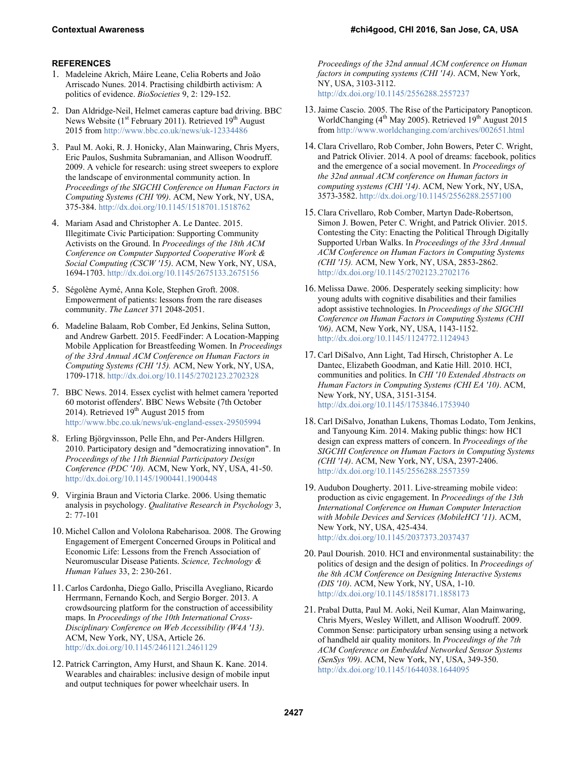## **REFERENCES**

- 1. Madeleine Akrich, Máire Leane, Celia Roberts and João Arriscado Nunes. 2014. Practising childbirth activism: A politics of evidence. *BioSocieties* 9, 2: 129-152.
- 2. Dan Aldridge-Neil, Helmet cameras capture bad driving. BBC News Website ( $1<sup>st</sup>$  February 2011). Retrieved  $19<sup>th</sup>$  August 2015 from http://www.bbc.co.uk/news/uk-12334486
- 3. Paul M. Aoki, R. J. Honicky, Alan Mainwaring, Chris Myers, Eric Paulos, Sushmita Subramanian, and Allison Woodruff. 2009. A vehicle for research: using street sweepers to explore the landscape of environmental community action. In *Proceedings of the SIGCHI Conference on Human Factors in Computing Systems (CHI '09)*. ACM, New York, NY, USA, 375-384. http://dx.doi.org/10.1145/1518701.1518762
- 4. Mariam Asad and Christopher A. Le Dantec. 2015. Illegitimate Civic Participation: Supporting Community Activists on the Ground. In *Proceedings of the 18th ACM Conference on Computer Supported Cooperative Work & Social Computing (CSCW '15)*. ACM, New York, NY, USA, 1694-1703. http://dx.doi.org/10.1145/2675133.2675156
- 5. Ségolène Aymé, Anna Kole, Stephen Groft. 2008. Empowerment of patients: lessons from the rare diseases community. *The Lancet* 371 2048-2051.
- 6. Madeline Balaam, Rob Comber, Ed Jenkins, Selina Sutton, and Andrew Garbett. 2015. FeedFinder: A Location-Mapping Mobile Application for Breastfeeding Women. In *Proceedings of the 33rd Annual ACM Conference on Human Factors in Computing Systems (CHI '15).* ACM, New York, NY, USA, 1709-1718. http://dx.doi.org/10.1145/2702123.2702328
- 7. BBC News. 2014. Essex cyclist with helmet camera 'reported 60 motorist offenders'. BBC News Website (7th October 2014). Retrieved  $19<sup>th</sup>$  August 2015 from http://www.bbc.co.uk/news/uk-england-essex-29505994
- 8. Erling Björgvinsson, Pelle Ehn, and Per-Anders Hillgren. 2010. Participatory design and "democratizing innovation". In *Proceedings of the 11th Biennial Participatory Design Conference (PDC '10).* ACM, New York, NY, USA, 41-50. http://dx.doi.org/10.1145/1900441.1900448
- 9. Virginia Braun and Victoria Clarke. 2006. Using thematic analysis in psychology. *Qualitative Research in Psychology* 3, 2: 77-101
- 10. Michel Callon and Vololona Rabeharisoa. 2008. The Growing Engagement of Emergent Concerned Groups in Political and Economic Life: Lessons from the French Association of Neuromuscular Disease Patients. *Science, Technology & Human Values* 33, 2: 230-261.
- 11. Carlos Cardonha, Diego Gallo, Priscilla Avegliano, Ricardo Herrmann, Fernando Koch, and Sergio Borger. 2013. A crowdsourcing platform for the construction of accessibility maps. In *Proceedings of the 10th International Cross-Disciplinary Conference on Web Accessibility (W4A '13)*. ACM, New York, NY, USA, Article 26. http://dx.doi.org/10.1145/2461121.2461129
- 12. Patrick Carrington, Amy Hurst, and Shaun K. Kane. 2014. Wearables and chairables: inclusive design of mobile input and output techniques for power wheelchair users. In

*Proceedings of the 32nd annual ACM conference on Human factors in computing systems (CHI '14)*. ACM, New York, NY, USA, 3103-3112. http://dx.doi.org/10.1145/2556288.2557237

- 13.Jaime Cascio. 2005. The Rise of the Participatory Panopticon. WorldChanging (4<sup>th</sup> May 2005). Retrieved 19<sup>th</sup> August 2015 from http://www.worldchanging.com/archives/002651.html
- 14. Clara Crivellaro, Rob Comber, John Bowers, Peter C. Wright, and Patrick Olivier. 2014. A pool of dreams: facebook, politics and the emergence of a social movement. In *Proceedings of the 32nd annual ACM conference on Human factors in computing systems (CHI '14)*. ACM, New York, NY, USA, 3573-3582. http://dx.doi.org/10.1145/2556288.2557100
- 15. Clara Crivellaro, Rob Comber, Martyn Dade-Robertson, Simon J. Bowen, Peter C. Wright, and Patrick Olivier. 2015. Contesting the City: Enacting the Political Through Digitally Supported Urban Walks. In *Proceedings of the 33rd Annual ACM Conference on Human Factors in Computing Systems (CHI '15).* ACM, New York, NY, USA, 2853-2862. http://dx.doi.org/10.1145/2702123.2702176
- 16. Melissa Dawe. 2006. Desperately seeking simplicity: how young adults with cognitive disabilities and their families adopt assistive technologies. In *Proceedings of the SIGCHI Conference on Human Factors in Computing Systems (CHI '06)*. ACM, New York, NY, USA, 1143-1152. http://dx.doi.org/10.1145/1124772.1124943
- 17. Carl DiSalvo, Ann Light, Tad Hirsch, Christopher A. Le Dantec, Elizabeth Goodman, and Katie Hill. 2010. HCI, communities and politics. In *CHI '10 Extended Abstracts on Human Factors in Computing Systems (CHI EA '10)*. ACM, New York, NY, USA, 3151-3154. http://dx.doi.org/10.1145/1753846.1753940
- 18. Carl DiSalvo, Jonathan Lukens, Thomas Lodato, Tom Jenkins, and Tanyoung Kim. 2014. Making public things: how HCI design can express matters of concern. In *Proceedings of the SIGCHI Conference on Human Factors in Computing Systems (CHI '14)*. ACM, New York, NY, USA, 2397-2406. http://dx.doi.org/10.1145/2556288.2557359
- 19. Audubon Dougherty. 2011. Live-streaming mobile video: production as civic engagement. In *Proceedings of the 13th International Conference on Human Computer Interaction with Mobile Devices and Services (MobileHCI '11)*. ACM, New York, NY, USA, 425-434. http://dx.doi.org/10.1145/2037373.2037437
- 20. Paul Dourish. 2010. HCI and environmental sustainability: the politics of design and the design of politics. In *Proceedings of the 8th ACM Conference on Designing Interactive Systems (DIS '10)*. ACM, New York, NY, USA, 1-10. http://dx.doi.org/10.1145/1858171.1858173
- 21. Prabal Dutta, Paul M. Aoki, Neil Kumar, Alan Mainwaring, Chris Myers, Wesley Willett, and Allison Woodruff. 2009. Common Sense: participatory urban sensing using a network of handheld air quality monitors. In *Proceedings of the 7th ACM Conference on Embedded Networked Sensor Systems (SenSys '09)*. ACM, New York, NY, USA, 349-350. http://dx.doi.org/10.1145/1644038.1644095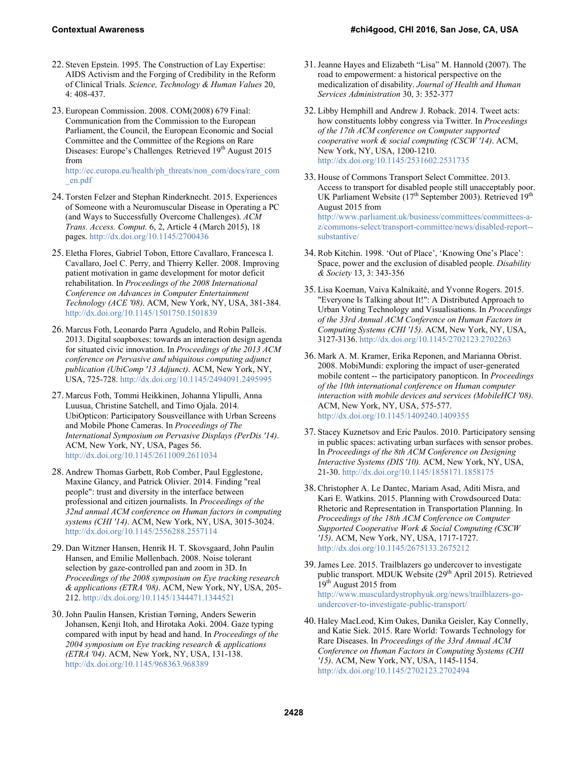- 22. Steven Epstein. 1995. The Construction of Lay Expertise: AIDS Activism and the Forging of Credibility in the Reform of Clinical Trials. *Science, Technology & Human Values* 20, 4: 408-437.
- 23. European Commission. 2008. COM(2008) 679 Final: Communication from the Commission to the European Parliament, the Council, the European Economic and Social Committee and the Committee of the Regions on Rare Diseases: Europe's Challenges. Retrieved 19<sup>th</sup> August 2015 from

http://ec.europa.eu/health/ph\_threats/non\_com/docs/rare\_com \_en.pdf

- 24. Torsten Felzer and Stephan Rinderknecht. 2015. Experiences of Someone with a Neuromuscular Disease in Operating a PC (and Ways to Successfully Overcome Challenges). *ACM Trans. Access. Comput.* 6, 2, Article 4 (March 2015), 18 pages. http://dx.doi.org/10.1145/2700436
- 25. Eletha Flores, Gabriel Tobon, Ettore Cavallaro, Francesca I. Cavallaro, Joel C. Perry, and Thierry Keller. 2008. Improving patient motivation in game development for motor deficit rehabilitation. In *Proceedings of the 2008 International Conference on Advances in Computer Entertainment Technology (ACE '08)*. ACM, New York, NY, USA, 381-384. http://dx.doi.org/10.1145/1501750.1501839
- 26. Marcus Foth, Leonardo Parra Agudelo, and Robin Palleis. 2013. Digital soapboxes: towards an interaction design agenda for situated civic innovation. In *Proceedings of the 2013 ACM conference on Pervasive and ubiquitous computing adjunct publication (UbiComp '13 Adjunct)*. ACM, New York, NY, USA, 725-728. http://dx.doi.org/10.1145/2494091.2495995
- 27. Marcus Foth, Tommi Heikkinen, Johanna Ylipulli, Anna Luusua, Christine Satchell, and Timo Ojala. 2014. UbiOpticon: Participatory Sousveillance with Urban Screens and Mobile Phone Cameras. In *Proceedings of The International Symposium on Pervasive Displays (PerDis '14)*. ACM, New York, NY, USA, Pages 56. http://dx.doi.org/10.1145/2611009.2611034
- 28. Andrew Thomas Garbett, Rob Comber, Paul Egglestone, Maxine Glancy, and Patrick Olivier. 2014. Finding "real people": trust and diversity in the interface between professional and citizen journalists. In *Proceedings of the 32nd annual ACM conference on Human factors in computing systems (CHI '14)*. ACM, New York, NY, USA, 3015-3024. http://dx.doi.org/10.1145/2556288.2557114
- 29. Dan Witzner Hansen, Henrik H. T. Skovsgaard, John Paulin Hansen, and Emilie Møllenbach. 2008. Noise tolerant selection by gaze-controlled pan and zoom in 3D. In *Proceedings of the 2008 symposium on Eye tracking research & applications (ETRA '08)*. ACM, New York, NY, USA, 205- 212. http://dx.doi.org/10.1145/1344471.1344521
- 30.John Paulin Hansen, Kristian Tørning, Anders Sewerin Johansen, Kenji Itoh, and Hirotaka Aoki. 2004. Gaze typing compared with input by head and hand. In *Proceedings of the 2004 symposium on Eye tracking research & applications (ETRA '04)*. ACM, New York, NY, USA, 131-138. http://dx.doi.org/10.1145/968363.968389
- 31.Jeanne Hayes and Elizabeth "Lisa" M. Hannold (2007). The road to empowerment: a historical perspective on the medicalization of disability. *Journal of Health and Human Services Administration* 30, 3: 352-377
- 32. Libby Hemphill and Andrew J. Roback. 2014. Tweet acts: how constituents lobby congress via Twitter. In *Proceedings of the 17th ACM conference on Computer supported cooperative work & social computing (CSCW '14)*. ACM, New York, NY, USA, 1200-1210. http://dx.doi.org/10.1145/2531602.2531735
- 33. House of Commons Transport Select Committee. 2013. Access to transport for disabled people still unacceptably poor. UK Parliament Website (17<sup>th</sup> September 2003). Retrieved 19<sup>th</sup> August 2015 from http://www.parliament.uk/business/committees/committees-az/commons-select/transport-committee/news/disabled-report- substantive/
- 34. Rob Kitchin. 1998. 'Out of Place', 'Knowing One's Place': Space, power and the exclusion of disabled people. *Disability & Society* 13, 3: 343-356
- 35. Lisa Koeman, Vaiva Kalnikaité, and Yvonne Rogers. 2015. "Everyone Is Talking about It!": A Distributed Approach to Urban Voting Technology and Visualisations. In *Proceedings of the 33rd Annual ACM Conference on Human Factors in Computing Systems (CHI '15)*. ACM, New York, NY, USA, 3127-3136. http://dx.doi.org/10.1145/2702123.2702263
- 36. Mark A. M. Kramer, Erika Reponen, and Marianna Obrist. 2008. MobiMundi: exploring the impact of user-generated mobile content -- the participatory panopticon. In *Proceedings of the 10th international conference on Human computer interaction with mobile devices and services (MobileHCI '08)*. ACM, New York, NY, USA, 575-577. http://dx.doi.org/10.1145/1409240.1409355
- 37. Stacey Kuznetsov and Eric Paulos. 2010. Participatory sensing in public spaces: activating urban surfaces with sensor probes. In *Proceedings of the 8th ACM Conference on Designing Interactive Systems (DIS '10).* ACM, New York, NY, USA, 21-30. http://dx.doi.org/10.1145/1858171.1858175
- 38. Christopher A. Le Dantec, Mariam Asad, Aditi Misra, and Kari E. Watkins. 2015. Planning with Crowdsourced Data: Rhetoric and Representation in Transportation Planning. In *Proceedings of the 18th ACM Conference on Computer Supported Cooperative Work & Social Computing (CSCW '15)*. ACM, New York, NY, USA, 1717-1727. http://dx.doi.org/10.1145/2675133.2675212
- 39.James Lee. 2015. Trailblazers go undercover to investigate public transport. MDUK Website (29<sup>th</sup> April 2015). Retrieved 19th August 2015 from http://www.musculardystrophyuk.org/news/trailblazers-goundercover-to-investigate-public-transport/
- 40. Haley MacLeod, Kim Oakes, Danika Geisler, Kay Connelly, and Katie Siek. 2015. Rare World: Towards Technology for Rare Diseases. In *Proceedings of the 33rd Annual ACM Conference on Human Factors in Computing Systems (CHI '15)*. ACM, New York, NY, USA, 1145-1154. http://dx.doi.org/10.1145/2702123.2702494